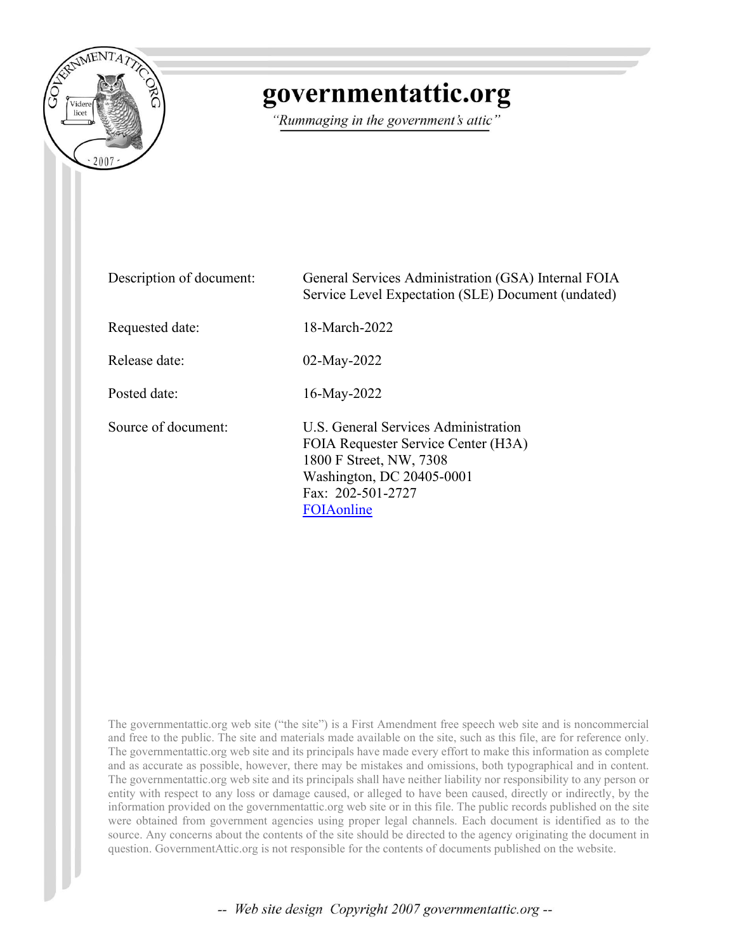

# governmentattic.org

"Rummaging in the government's attic"

| Description of document: | General Services Administration (GSA) Internal FOIA<br>Service Level Expectation (SLE) Document (undated)                                                              |
|--------------------------|------------------------------------------------------------------------------------------------------------------------------------------------------------------------|
| Requested date:          | 18-March-2022                                                                                                                                                          |
| Release date:            | $02$ -May-2022                                                                                                                                                         |
| Posted date:             | 16-May-2022                                                                                                                                                            |
| Source of document:      | U.S. General Services Administration<br>FOIA Requester Service Center (H3A)<br>1800 F Street, NW, 7308<br>Washington, DC 20405-0001<br>Fax: 202-501-2727<br>FOIAonline |

The governmentattic.org web site ("the site") is a First Amendment free speech web site and is noncommercial and free to the public. The site and materials made available on the site, such as this file, are for reference only. The governmentattic.org web site and its principals have made every effort to make this information as complete and as accurate as possible, however, there may be mistakes and omissions, both typographical and in content. The governmentattic.org web site and its principals shall have neither liability nor responsibility to any person or entity with respect to any loss or damage caused, or alleged to have been caused, directly or indirectly, by the information provided on the governmentattic.org web site or in this file. The public records published on the site were obtained from government agencies using proper legal channels. Each document is identified as to the source. Any concerns about the contents of the site should be directed to the agency originating the document in question. GovernmentAttic.org is not responsible for the contents of documents published on the website.

-- Web site design Copyright 2007 governmentattic.org --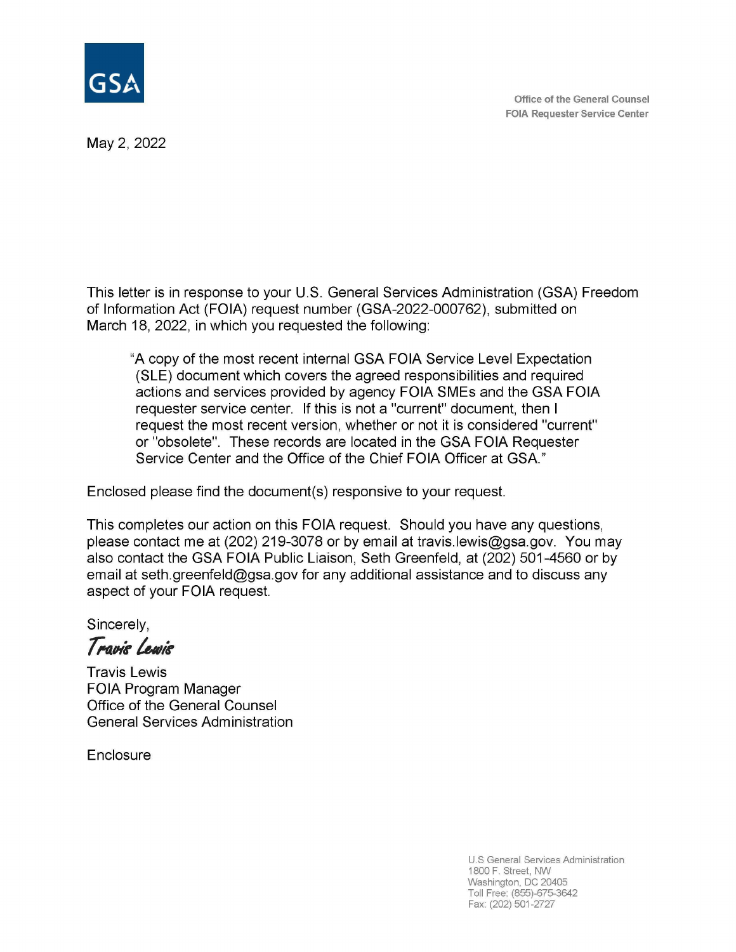

May 2, 2022

This letter is in response to your U.S. General Services Administration (GSA) Freedom of Information Act (FOIA) request number (GSA-2022-000762), submitted on March 18, 2022, in which you requested the following:

"A copy of the most recent internal GSA FOIA Service Level Expectation (SLE) document which covers the agreed responsibilities and required actions and services provided by agency FOIA SMEs and the GSA FOIA requester service center. If this is not a "current" document, then I request the most recent version, whether or not it is considered "current" or "obsolete". These records are located in the GSA FOIA Requester Service Center and the Office of the Chief FOIA Officer at GSA"

Enclosed please find the document(s) responsive to your request.

This completes our action on this FOIA request. Should you have any questions, please contact me at (202) 219-3078 or by email at travis.lewis@gsa.gov. You may also contact the GSA FOIA Public Liaison, Seth Greenfeld, at (202) 501-4560 or by email at seth.greenfeld@gsa.gov for any additional assistance and to discuss any aspect of your FOIA request.

Sincerely,

Travis Lewis

Travis Lewis FOIA Program Manager Office of the General Counsel General Services Administration

**Enclosure** 

U.S General Services Administration 1800 F. Street, NW Washington, DC 20405 Toll Free: (855)-675-3642 Fax: (202) 501-2727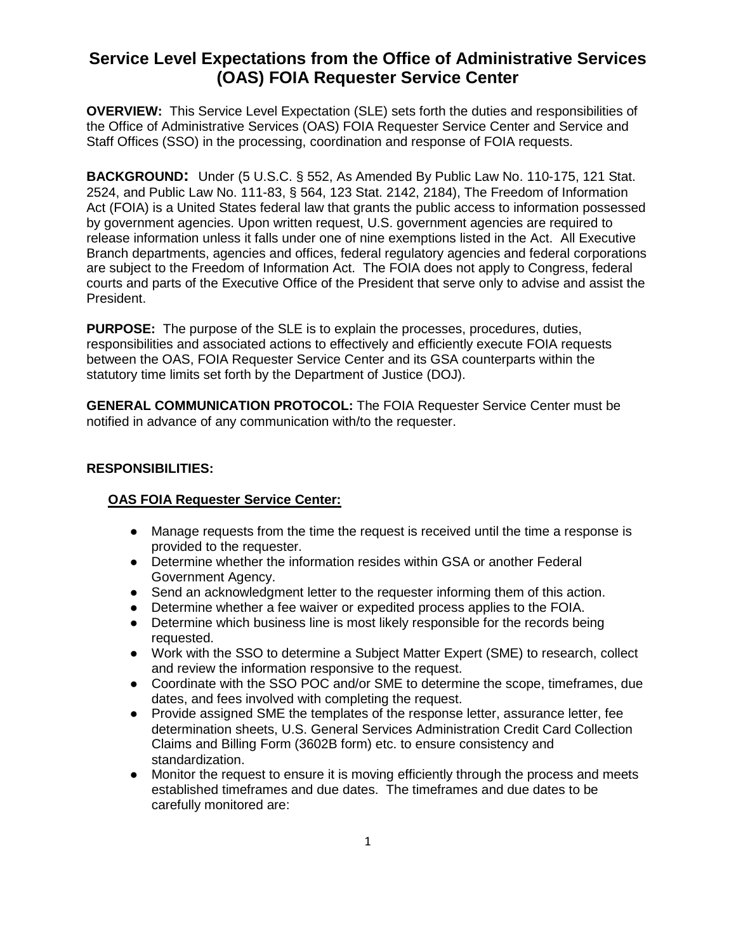## **Service Level Expectations from the Office of Administrative Services (OAS) FOIA Requester Service Center**

**OVERVIEW:** This Service Level Expectation (SLE) sets forth the duties and responsibilities of the Office of Administrative Services (OAS) FOIA Requester Service Center and Service and Staff Offices (SSO) in the processing, coordination and response of FOIA requests.

**BACKGROUND:** Under (5 U.S.C. § 552, As Amended By Public Law No. 110-175, 121 Stat. 2524, and Public Law No. 111-83, § 564, 123 Stat. 2142, 2184), The Freedom of Information Act (FOIA) is a United States federal law that grants the public access to information possessed by government agencies. Upon written request, U.S. government agencies are required to release information unless it falls under one of nine exemptions listed in the Act. All Executive Branch departments, agencies and offices, federal regulatory agencies and federal corporations are subject to the Freedom of Information Act. The FOIA does not apply to Congress, federal courts and parts of the Executive Office of the President that serve only to advise and assist the President.

**PURPOSE:** The purpose of the SLE is to explain the processes, procedures, duties, responsibilities and associated actions to effectively and efficiently execute FOIA requests between the OAS, FOIA Requester Service Center and its GSA counterparts within the statutory time limits set forth by the Department of Justice (DOJ).

**GENERAL COMMUNICATION PROTOCOL:** The FOIA Requester Service Center must be notified in advance of any communication with/to the requester.

#### **RESPONSIBILITIES:**

#### **OAS FOIA Requester Service Center:**

- Manage requests from the time the request is received until the time a response is provided to the requester.
- Determine whether the information resides within GSA or another Federal Government Agency.
- Send an acknowledgment letter to the requester informing them of this action.
- Determine whether a fee waiver or expedited process applies to the FOIA.
- Determine which business line is most likely responsible for the records being requested.
- Work with the SSO to determine a Subject Matter Expert (SME) to research, collect and review the information responsive to the request.
- Coordinate with the SSO POC and/or SME to determine the scope, timeframes, due dates, and fees involved with completing the request.
- Provide assigned SME the templates of the response letter, assurance letter, fee determination sheets, U.S. General Services Administration Credit Card Collection Claims and Billing Form (3602B form) etc. to ensure consistency and standardization.
- Monitor the request to ensure it is moving efficiently through the process and meets established timeframes and due dates. The timeframes and due dates to be carefully monitored are: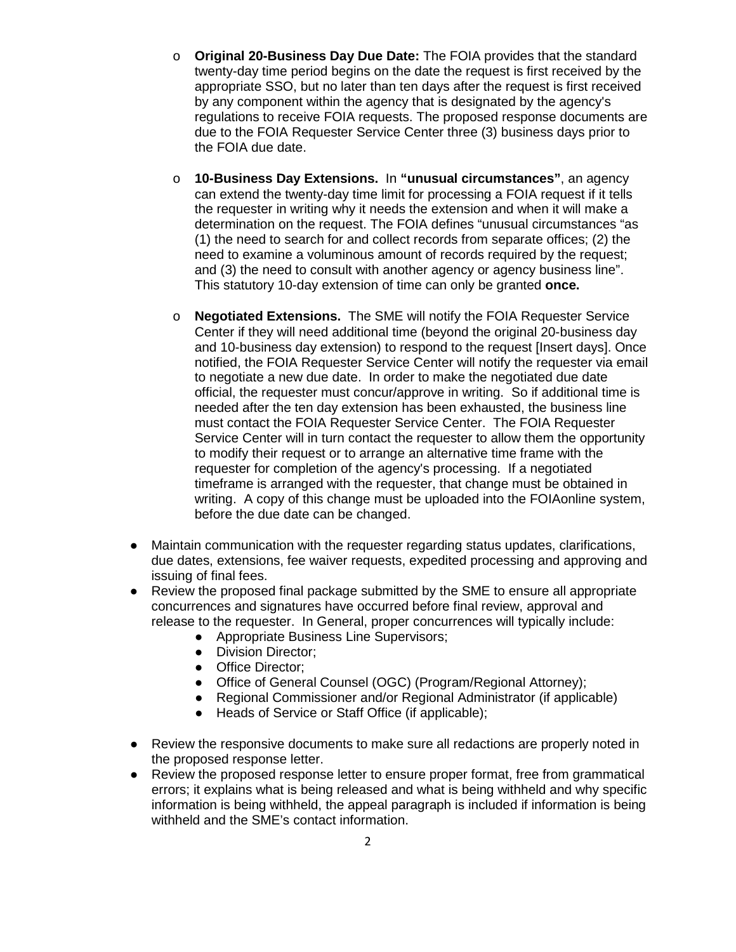- o **Original 20-Business Day Due Date:** The FOIA provides that the standard twenty-day time period begins on the date the request is first received by the appropriate SSO, but no later than ten days after the request is first received by any component within the agency that is designated by the agency's regulations to receive FOIA requests. The proposed response documents are due to the FOIA Requester Service Center three (3) business days prior to the FOIA due date.
- o **10-Business Day Extensions.** In **"unusual circumstances"**, an agency can extend the twenty-day time limit for processing a FOIA request if it tells the requester in writing why it needs the extension and when it will make a determination on the request. The FOIA defines "unusual circumstances "as (1) the need to search for and collect records from separate offices; (2) the need to examine a voluminous amount of records required by the request; and (3) the need to consult with another agency or agency business line". This statutory 10-day extension of time can only be granted **once.**
- o **Negotiated Extensions.** The SME will notify the FOIA Requester Service Center if they will need additional time (beyond the original 20-business day and 10-business day extension) to respond to the request [Insert days]. Once notified, the FOIA Requester Service Center will notify the requester via email to negotiate a new due date. In order to make the negotiated due date official, the requester must concur/approve in writing. So if additional time is needed after the ten day extension has been exhausted, the business line must contact the FOIA Requester Service Center. The FOIA Requester Service Center will in turn contact the requester to allow them the opportunity to modify their request or to arrange an alternative time frame with the requester for completion of the agency's processing. If a negotiated timeframe is arranged with the requester, that change must be obtained in writing. A copy of this change must be uploaded into the FOIAonline system, before the due date can be changed.
- Maintain communication with the requester regarding status updates, clarifications, due dates, extensions, fee waiver requests, expedited processing and approving and issuing of final fees.
- Review the proposed final package submitted by the SME to ensure all appropriate concurrences and signatures have occurred before final review, approval and release to the requester. In General, proper concurrences will typically include:
	- Appropriate Business Line Supervisors;
	- Division Director;
	- Office Director;
	- Office of General Counsel (OGC) (Program/Regional Attorney);
	- Regional Commissioner and/or Regional Administrator (if applicable)
	- Heads of Service or Staff Office (if applicable);
- Review the responsive documents to make sure all redactions are properly noted in the proposed response letter.
- Review the proposed response letter to ensure proper format, free from grammatical errors; it explains what is being released and what is being withheld and why specific information is being withheld, the appeal paragraph is included if information is being withheld and the SME's contact information.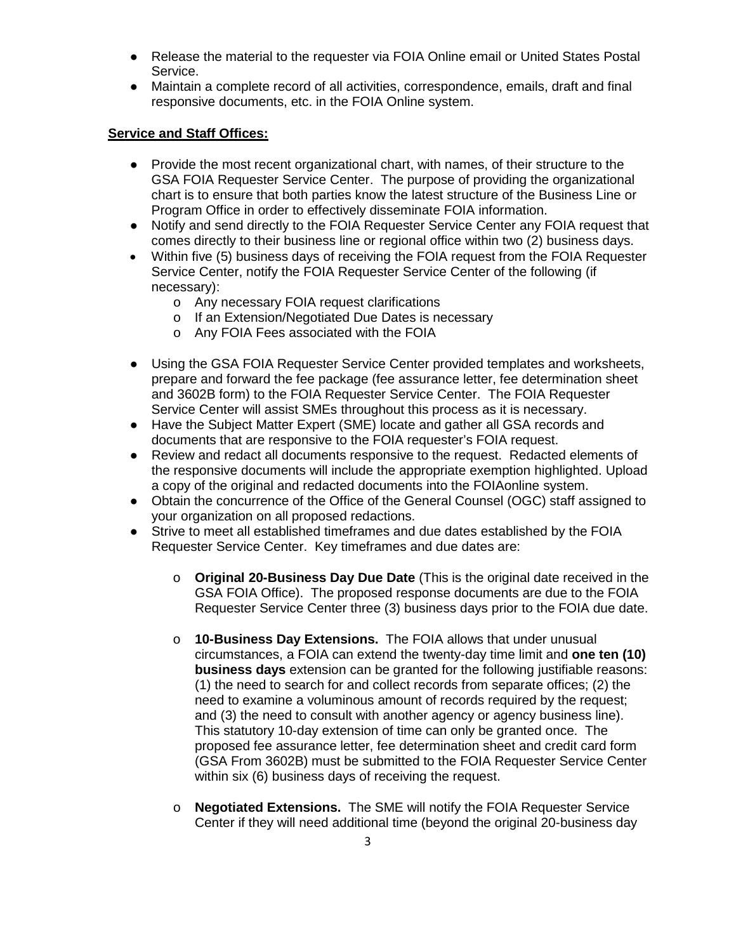- Release the material to the requester via FOIA Online email or United States Postal Service.
- Maintain a complete record of all activities, correspondence, emails, draft and final responsive documents, etc. in the FOIA Online system.

#### **Service and Staff Offices:**

- Provide the most recent organizational chart, with names, of their structure to the GSA FOIA Requester Service Center. The purpose of providing the organizational chart is to ensure that both parties know the latest structure of the Business Line or Program Office in order to effectively disseminate FOIA information.
- Notify and send directly to the FOIA Requester Service Center any FOIA request that comes directly to their business line or regional office within two (2) business days.
- Within five (5) business days of receiving the FOIA request from the FOIA Requester Service Center, notify the FOIA Requester Service Center of the following (if necessary):
	- o Any necessary FOIA request clarifications
	- o If an Extension/Negotiated Due Dates is necessary
	- o Any FOIA Fees associated with the FOIA
- Using the GSA FOIA Requester Service Center provided templates and worksheets, prepare and forward the fee package (fee assurance letter, fee determination sheet and 3602B form) to the FOIA Requester Service Center. The FOIA Requester Service Center will assist SMEs throughout this process as it is necessary.
- Have the Subject Matter Expert (SME) locate and gather all GSA records and documents that are responsive to the FOIA requester's FOIA request.
- Review and redact all documents responsive to the request. Redacted elements of the responsive documents will include the appropriate exemption highlighted. Upload a copy of the original and redacted documents into the FOIAonline system.
- Obtain the concurrence of the Office of the General Counsel (OGC) staff assigned to your organization on all proposed redactions.
- Strive to meet all established timeframes and due dates established by the FOIA Requester Service Center. Key timeframes and due dates are:
	- o **Original 20-Business Day Due Date** (This is the original date received in the GSA FOIA Office). The proposed response documents are due to the FOIA Requester Service Center three (3) business days prior to the FOIA due date.
	- o **10-Business Day Extensions.** The FOIA allows that under unusual circumstances, a FOIA can extend the twenty-day time limit and **one ten (10) business days** extension can be granted for the following justifiable reasons: (1) the need to search for and collect records from separate offices; (2) the need to examine a voluminous amount of records required by the request; and (3) the need to consult with another agency or agency business line). This statutory 10-day extension of time can only be granted once. The proposed fee assurance letter, fee determination sheet and credit card form (GSA From 3602B) must be submitted to the FOIA Requester Service Center within six (6) business days of receiving the request.
	- o **Negotiated Extensions.** The SME will notify the FOIA Requester Service Center if they will need additional time (beyond the original 20-business day